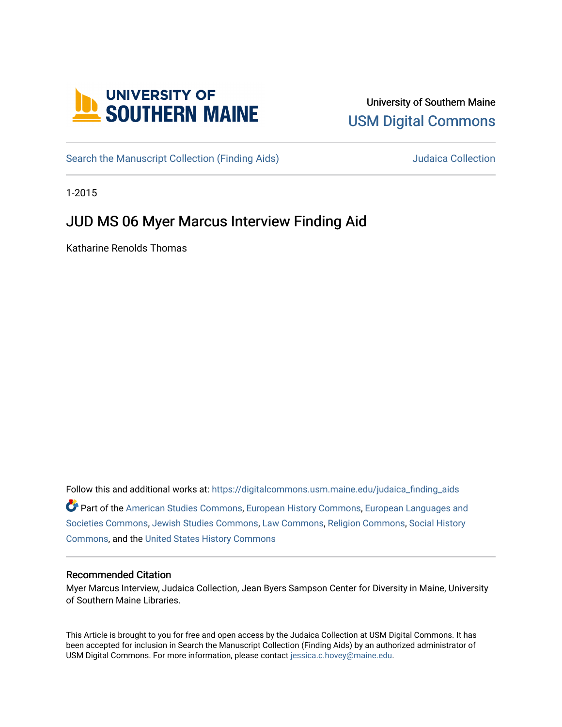

# University of Southern Maine [USM Digital Commons](https://digitalcommons.usm.maine.edu/)

[Search the Manuscript Collection \(Finding Aids\)](https://digitalcommons.usm.maine.edu/judaica_finding_aids) Search the Manuscript Collection

1-2015

# JUD MS 06 Myer Marcus Interview Finding Aid

Katharine Renolds Thomas

Follow this and additional works at: [https://digitalcommons.usm.maine.edu/judaica\\_finding\\_aids](https://digitalcommons.usm.maine.edu/judaica_finding_aids?utm_source=digitalcommons.usm.maine.edu%2Fjudaica_finding_aids%2F6&utm_medium=PDF&utm_campaign=PDFCoverPages) 

Part of the [American Studies Commons](http://network.bepress.com/hgg/discipline/439?utm_source=digitalcommons.usm.maine.edu%2Fjudaica_finding_aids%2F6&utm_medium=PDF&utm_campaign=PDFCoverPages), [European History Commons](http://network.bepress.com/hgg/discipline/492?utm_source=digitalcommons.usm.maine.edu%2Fjudaica_finding_aids%2F6&utm_medium=PDF&utm_campaign=PDFCoverPages), [European Languages and](http://network.bepress.com/hgg/discipline/482?utm_source=digitalcommons.usm.maine.edu%2Fjudaica_finding_aids%2F6&utm_medium=PDF&utm_campaign=PDFCoverPages) [Societies Commons](http://network.bepress.com/hgg/discipline/482?utm_source=digitalcommons.usm.maine.edu%2Fjudaica_finding_aids%2F6&utm_medium=PDF&utm_campaign=PDFCoverPages), [Jewish Studies Commons](http://network.bepress.com/hgg/discipline/479?utm_source=digitalcommons.usm.maine.edu%2Fjudaica_finding_aids%2F6&utm_medium=PDF&utm_campaign=PDFCoverPages), [Law Commons,](http://network.bepress.com/hgg/discipline/578?utm_source=digitalcommons.usm.maine.edu%2Fjudaica_finding_aids%2F6&utm_medium=PDF&utm_campaign=PDFCoverPages) [Religion Commons](http://network.bepress.com/hgg/discipline/538?utm_source=digitalcommons.usm.maine.edu%2Fjudaica_finding_aids%2F6&utm_medium=PDF&utm_campaign=PDFCoverPages), [Social History](http://network.bepress.com/hgg/discipline/506?utm_source=digitalcommons.usm.maine.edu%2Fjudaica_finding_aids%2F6&utm_medium=PDF&utm_campaign=PDFCoverPages) [Commons](http://network.bepress.com/hgg/discipline/506?utm_source=digitalcommons.usm.maine.edu%2Fjudaica_finding_aids%2F6&utm_medium=PDF&utm_campaign=PDFCoverPages), and the [United States History Commons](http://network.bepress.com/hgg/discipline/495?utm_source=digitalcommons.usm.maine.edu%2Fjudaica_finding_aids%2F6&utm_medium=PDF&utm_campaign=PDFCoverPages) 

#### Recommended Citation

Myer Marcus Interview, Judaica Collection, Jean Byers Sampson Center for Diversity in Maine, University of Southern Maine Libraries.

This Article is brought to you for free and open access by the Judaica Collection at USM Digital Commons. It has been accepted for inclusion in Search the Manuscript Collection (Finding Aids) by an authorized administrator of USM Digital Commons. For more information, please contact [jessica.c.hovey@maine.edu](mailto:ian.fowler@maine.edu).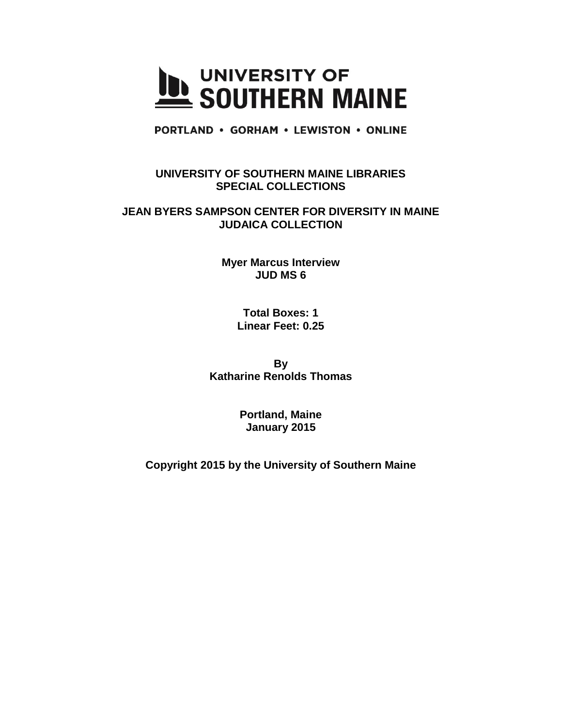

**PORTLAND • GORHAM • LEWISTON • ONLINE** 

### **UNIVERSITY OF SOUTHERN MAINE LIBRARIES SPECIAL COLLECTIONS**

#### **JEAN BYERS SAMPSON CENTER FOR DIVERSITY IN MAINE JUDAICA COLLECTION**

**Myer Marcus Interview JUD MS 6** 

> **Total Boxes: 1 Linear Feet: 0.25**

**By Katharine Renolds Thomas**

> **Portland, Maine January 2015**

**Copyright 2015 by the University of Southern Maine**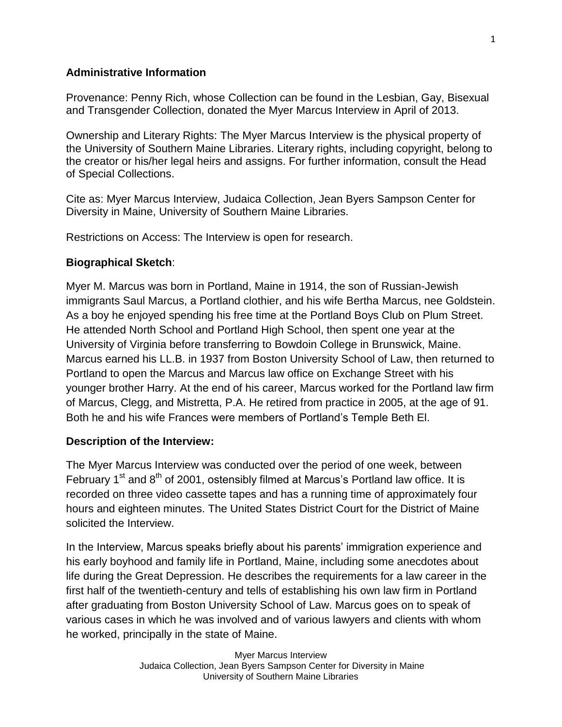### **Administrative Information**

Provenance: Penny Rich, whose Collection can be found in the Lesbian, Gay, Bisexual and Transgender Collection, donated the Myer Marcus Interview in April of 2013.

Ownership and Literary Rights: The Myer Marcus Interview is the physical property of the University of Southern Maine Libraries. Literary rights, including copyright, belong to the creator or his/her legal heirs and assigns. For further information, consult the Head of Special Collections.

Cite as: Myer Marcus Interview, Judaica Collection, Jean Byers Sampson Center for Diversity in Maine, University of Southern Maine Libraries.

Restrictions on Access: The Interview is open for research.

## **Biographical Sketch**:

Myer M. Marcus was born in Portland, Maine in 1914, the son of Russian-Jewish immigrants Saul Marcus, a Portland clothier, and his wife Bertha Marcus, nee Goldstein. As a boy he enjoyed spending his free time at the Portland Boys Club on Plum Street. He attended North School and Portland High School, then spent one year at the University of Virginia before transferring to Bowdoin College in Brunswick, Maine. Marcus earned his LL.B. in 1937 from Boston University School of Law, then returned to Portland to open the Marcus and Marcus law office on Exchange Street with his younger brother Harry. At the end of his career, Marcus worked for the Portland law firm of Marcus, Clegg, and Mistretta, P.A. He retired from practice in 2005, at the age of 91. Both he and his wife Frances were members of Portland's Temple Beth El.

### **Description of the Interview:**

The Myer Marcus Interview was conducted over the period of one week, between February  $1<sup>st</sup>$  and  $8<sup>th</sup>$  of 2001, ostensibly filmed at Marcus's Portland law office. It is recorded on three video cassette tapes and has a running time of approximately four hours and eighteen minutes. The United States District Court for the District of Maine solicited the Interview.

In the Interview, Marcus speaks briefly about his parents' immigration experience and his early boyhood and family life in Portland, Maine, including some anecdotes about life during the Great Depression. He describes the requirements for a law career in the first half of the twentieth-century and tells of establishing his own law firm in Portland after graduating from Boston University School of Law. Marcus goes on to speak of various cases in which he was involved and of various lawyers and clients with whom he worked, principally in the state of Maine.